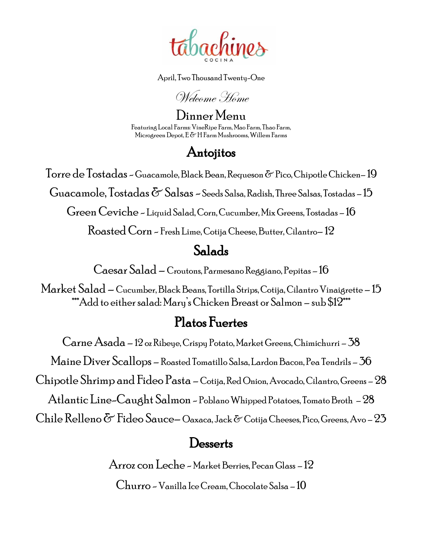

April, Two Thousand Twenty-One

Welcome Home

Dinner Menu Featuring Local Farms: VineRipe Farm, Mao Farm, Thao Farm, Microgreen Depot, E & H Farm Mushrooms, Willem Farms

## Antojitos

Torre de Tostadas -Guacamole, Black Bean, Requeson & Pico, Chipotle Chicken– 19

Guacamole,  $T$ ostadas  $\delta$ <sup>-</sup> Salsas ~ Seeds Salsa, Radish, Three Salsas, Tostadas - 15

Green Ceviche - Liquid Salad, Corn, Cucumber, Mix Greens, Tostadas – 16

Roasted Corn - Fresh Lime, Cotija Cheese, Butter, Cilantro– 12

### Salads

Caesar Salad – Croutons, Parmesano Reggiano, Pepitas – 16

Market Salad – Cucumber, Black Beans, Tortilla Strips, Cotija, Cilantro Vinaigrette – 15 \*\*\*Add to either salad: Mary'sChicken Breast or Salmon – sub \$12\*\*\*

# Platos Fuertes

Carne Asada – 12 oz Ribeye, Crispy Potato, Market Greens, Chimichurri – 38 MaineDiver Scallops – Roasted Tomatillo Salsa, Lardon Bacon, Pea Tendrils – 36 Chipotle Shrimp and Fideo Pasta – Cotija, Red Onion, Avocado, Cilantro, Greens – 28 Atlantic Line-Caught Salmon - Poblano Whipped Potatoes, Tomato Broth – 28 Chile Relleno  $\delta$  Fideo Sauce– Oaxaca, Jack  $\delta$  Cotija Cheeses, Pico, Greens, Avo – 23

### **Desserts**

Arroz con Leche - Market Berries, Pecan Glass – 12

Churro -Vanilla Ice Cream, Chocolate Salsa – 10